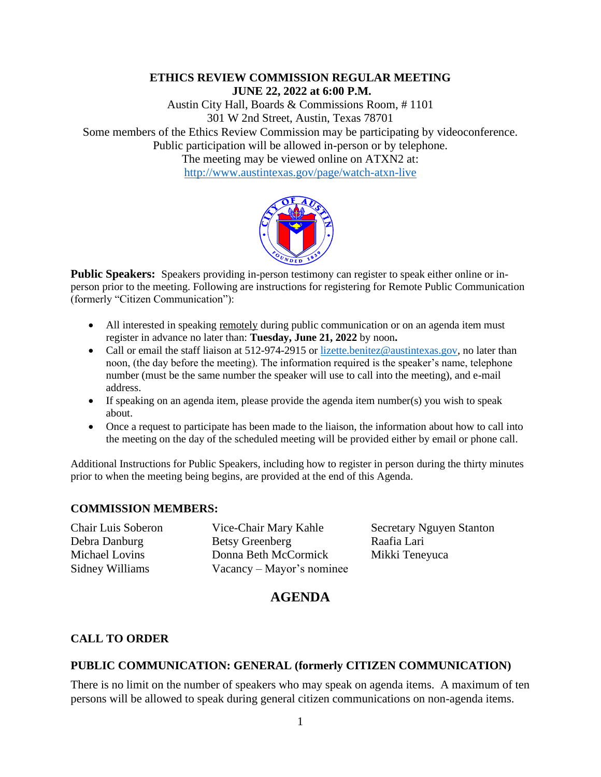**ETHICS REVIEW COMMISSION REGULAR MEETING JUNE 22, 2022 at 6:00 P.M.** Austin City Hall, Boards & Commissions Room, # 1101 301 W 2nd Street, Austin, Texas 78701 Some members of the Ethics Review Commission may be participating by videoconference. Public participation will be allowed in-person or by telephone. The meeting may be viewed online on ATXN2 at: [http://www.austintexas.gov/page/watch-atxn-live](https://gcc02.safelinks.protection.outlook.com/?url=http%3A%2F%2Fwww.austintexas.gov%2Fpage%2Fwatch-atxn-live&data=04%7C01%7CLynn.Carter%40austintexas.gov%7Cc402ec8d89044661851b08d96f159f3a%7C5c5e19f6a6ab4b45b1d0be4608a9a67f%7C0%7C0%7C637662960924607497%7CUnknown%7CTWFpbGZsb3d8eyJWIjoiMC4wLjAwMDAiLCJQIjoiV2luMzIiLCJBTiI6Ik1haWwiLCJXVCI6Mn0%3D%7C1000&sdata=5xqnH2G8OLeCxsXktN8tVzQ9Uw6tixhV8uWB6QMAFrk%3D&reserved=0)



**Public Speakers:** Speakers providing in-person testimony can register to speak either online or inperson prior to the meeting. Following are instructions for registering for Remote Public Communication (formerly "Citizen Communication"):

- All interested in speaking remotely during public communication or on an agenda item must register in advance no later than: **Tuesday, June 21, 2022** by noon**.**
- Call or email the staff liaison at 512-974-2915 or [lizette.benitez@austintexas.gov,](mailto:lizette.benitez@austintexas.gov) no later than noon, (the day before the meeting). The information required is the speaker's name, telephone number (must be the same number the speaker will use to call into the meeting), and e-mail address.
- If speaking on an agenda item, please provide the agenda item number(s) you wish to speak about.
- Once a request to participate has been made to the liaison, the information about how to call into the meeting on the day of the scheduled meeting will be provided either by email or phone call.

Additional Instructions for Public Speakers, including how to register in person during the thirty minutes prior to when the meeting being begins, are provided at the end of this Agenda.

#### **COMMISSION MEMBERS:**

| Chair Luis Soberon | Vice-Chair Mary Kahle     | <b>Secretary Nguyen Stanton</b> |
|--------------------|---------------------------|---------------------------------|
| Debra Danburg      | <b>Betsy Greenberg</b>    | Raafia Lari                     |
| Michael Lovins     | Donna Beth McCormick      | Mikki Teneyuca                  |
| Sidney Williams    | Vacancy – Mayor's nominee |                                 |

# **AGENDA**

#### **CALL TO ORDER**

#### **PUBLIC COMMUNICATION: GENERAL (formerly CITIZEN COMMUNICATION)**

There is no limit on the number of speakers who may speak on agenda items. A maximum of ten persons will be allowed to speak during general citizen communications on non-agenda items.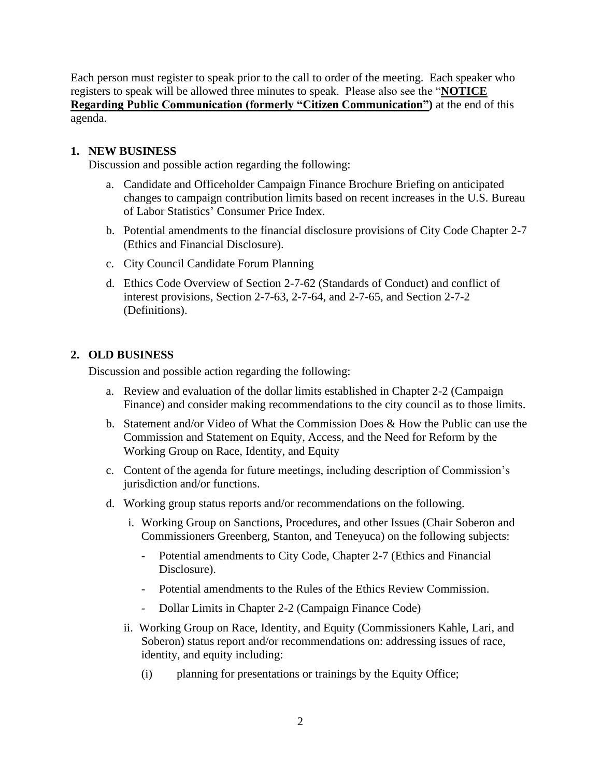Each person must register to speak prior to the call to order of the meeting. Each speaker who registers to speak will be allowed three minutes to speak. Please also see the "**NOTICE Regarding Public Communication (formerly "Citizen Communication")** at the end of this agenda.

### **1. NEW BUSINESS**

Discussion and possible action regarding the following:

- a. Candidate and Officeholder Campaign Finance Brochure Briefing on anticipated changes to campaign contribution limits based on recent increases in the U.S. Bureau of Labor Statistics' Consumer Price Index.
- b. Potential amendments to the financial disclosure provisions of City Code Chapter 2-7 (Ethics and Financial Disclosure).
- c. City Council Candidate Forum Planning
- d. Ethics Code Overview of Section 2-7-62 (Standards of Conduct) and conflict of interest provisions, Section 2-7-63, 2-7-64, and 2-7-65, and Section 2-7-2 (Definitions).

### **2. OLD BUSINESS**

Discussion and possible action regarding the following:

- a. Review and evaluation of the dollar limits established in Chapter 2-2 (Campaign Finance) and consider making recommendations to the city council as to those limits.
- b. Statement and/or Video of What the Commission Does  $\&$  How the Public can use the Commission and Statement on Equity, Access, and the Need for Reform by the Working Group on Race, Identity, and Equity
- c. Content of the agenda for future meetings, including description of Commission's jurisdiction and/or functions.
- d. Working group status reports and/or recommendations on the following.
	- i. Working Group on Sanctions, Procedures, and other Issues (Chair Soberon and Commissioners Greenberg, Stanton, and Teneyuca) on the following subjects:
		- Potential amendments to City Code, Chapter 2-7 (Ethics and Financial Disclosure).
		- Potential amendments to the Rules of the Ethics Review Commission.
		- Dollar Limits in Chapter 2-2 (Campaign Finance Code)
	- ii. Working Group on Race, Identity, and Equity (Commissioners Kahle, Lari, and Soberon) status report and/or recommendations on: addressing issues of race, identity, and equity including:
		- (i) planning for presentations or trainings by the Equity Office;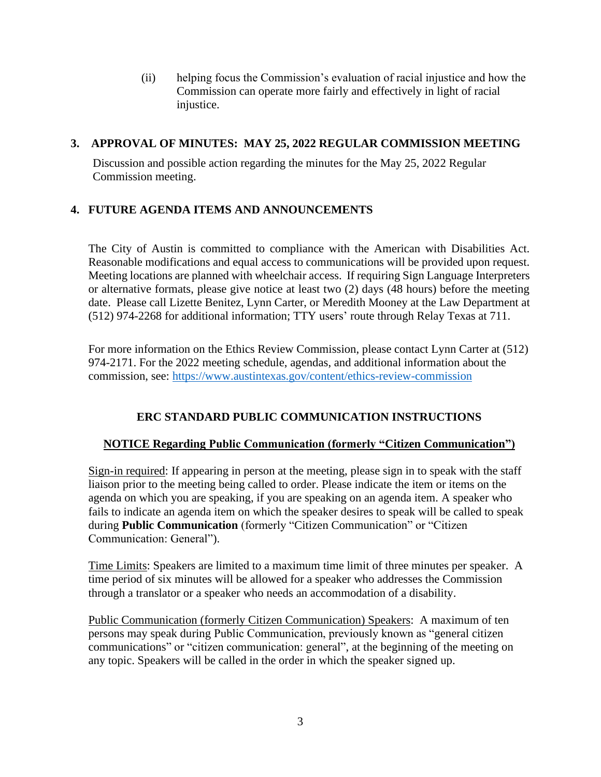(ii) helping focus the Commission's evaluation of racial injustice and how the Commission can operate more fairly and effectively in light of racial injustice.

### **3. APPROVAL OF MINUTES: MAY 25, 2022 REGULAR COMMISSION MEETING**

Discussion and possible action regarding the minutes for the May 25, 2022 Regular Commission meeting.

# **4. FUTURE AGENDA ITEMS AND ANNOUNCEMENTS**

The City of Austin is committed to compliance with the American with Disabilities Act. Reasonable modifications and equal access to communications will be provided upon request. Meeting locations are planned with wheelchair access. If requiring Sign Language Interpreters or alternative formats, please give notice at least two (2) days (48 hours) before the meeting date. Please call Lizette Benitez, Lynn Carter, or Meredith Mooney at the Law Department at (512) 974-2268 for additional information; TTY users' route through Relay Texas at 711.

For more information on the Ethics Review Commission, please contact Lynn Carter at (512) 974-2171. For the 2022 meeting schedule, agendas, and additional information about the commission, see:<https://www.austintexas.gov/content/ethics-review-commission>

# **ERC STANDARD PUBLIC COMMUNICATION INSTRUCTIONS**

# **NOTICE Regarding Public Communication (formerly "Citizen Communication")**

Sign-in required: If appearing in person at the meeting, please sign in to speak with the staff liaison prior to the meeting being called to order. Please indicate the item or items on the agenda on which you are speaking, if you are speaking on an agenda item. A speaker who fails to indicate an agenda item on which the speaker desires to speak will be called to speak during **Public Communication** (formerly "Citizen Communication" or "Citizen Communication: General").

Time Limits: Speakers are limited to a maximum time limit of three minutes per speaker. A time period of six minutes will be allowed for a speaker who addresses the Commission through a translator or a speaker who needs an accommodation of a disability.

Public Communication (formerly Citizen Communication) Speakers: A maximum of ten persons may speak during Public Communication, previously known as "general citizen communications" or "citizen communication: general", at the beginning of the meeting on any topic. Speakers will be called in the order in which the speaker signed up.